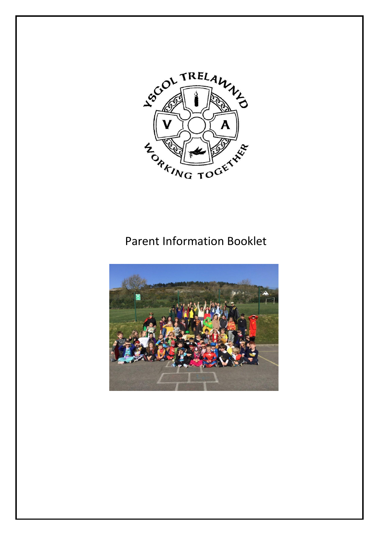

# Parent Information Booklet

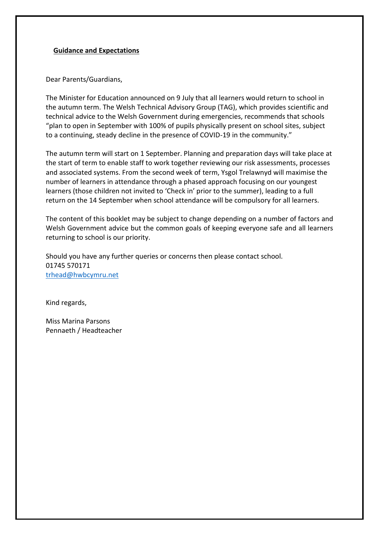#### **Guidance and Expectations**

Dear Parents/Guardians,

The Minister for Education announced on 9 July that all learners would return to school in the autumn term. The Welsh Technical Advisory Group (TAG), which provides scientific and technical advice to the Welsh Government during emergencies, recommends that schools "plan to open in September with 100% of pupils physically present on school sites, subject to a continuing, steady decline in the presence of COVID-19 in the community."

The autumn term will start on 1 September. Planning and preparation days will take place at the start of term to enable staff to work together reviewing our risk assessments, processes and associated systems. From the second week of term, Ysgol Trelawnyd will maximise the number of learners in attendance through a phased approach focusing on our youngest learners (those children not invited to 'Check in' prior to the summer), leading to a full return on the 14 September when school attendance will be compulsory for all learners.

The content of this booklet may be subject to change depending on a number of factors and Welsh Government advice but the common goals of keeping everyone safe and all learners returning to school is our priority.

Should you have any further queries or concerns then please contact school. 01745 570171 trhead@hwbcymru.net

Kind regards,

Miss Marina Parsons Pennaeth / Headteacher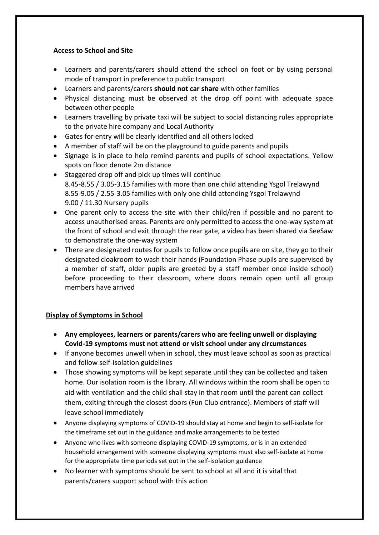## **Access to School and Site**

- Learners and parents/carers should attend the school on foot or by using personal mode of transport in preference to public transport
- Learners and parents/carers **should not car share** with other families
- Physical distancing must be observed at the drop off point with adequate space between other people
- Learners travelling by private taxi will be subject to social distancing rules appropriate to the private hire company and Local Authority
- Gates for entry will be clearly identified and all others locked
- A member of staff will be on the playground to guide parents and pupils
- Signage is in place to help remind parents and pupils of school expectations. Yellow spots on floor denote 2m distance
- Staggered drop off and pick up times will continue 8.45-8.55 / 3.05-3.15 families with more than one child attending Ysgol Trelawynd 8.55-9.05 / 2.55-3.05 families with only one child attending Ysgol Trelawynd 9.00 / 11.30 Nursery pupils
- One parent only to access the site with their child/ren if possible and no parent to access unauthorised areas. Parents are only permitted to access the one-way system at the front of school and exit through the rear gate, a video has been shared via SeeSaw to demonstrate the one-way system
- There are designated routes for pupils to follow once pupils are on site, they go to their designated cloakroom to wash their hands (Foundation Phase pupils are supervised by a member of staff, older pupils are greeted by a staff member once inside school) before proceeding to their classroom, where doors remain open until all group members have arrived

# **Display of Symptoms in School**

- **Any employees, learners or parents/carers who are feeling unwell or displaying Covid-19 symptoms must not attend or visit school under any circumstances**
- If anyone becomes unwell when in school, they must leave school as soon as practical and follow self-isolation guidelines
- Those showing symptoms will be kept separate until they can be collected and taken home. Our isolation room is the library. All windows within the room shall be open to aid with ventilation and the child shall stay in that room until the parent can collect them, exiting through the closest doors (Fun Club entrance). Members of staff will leave school immediately
- Anyone displaying symptoms of COVID-19 should stay at home and begin to self-isolate for the timeframe set out in the guidance and make arrangements to be tested
- Anyone who lives with someone displaying COVID-19 symptoms, or is in an extended household arrangement with someone displaying symptoms must also self-isolate at home for the appropriate time periods set out in the self-isolation guidance
- No learner with symptoms should be sent to school at all and it is vital that parents/carers support school with this action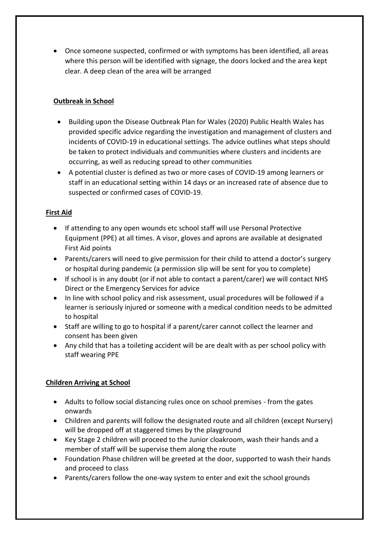• Once someone suspected, confirmed or with symptoms has been identified, all areas where this person will be identified with signage, the doors locked and the area kept clear. A deep clean of the area will be arranged

## **Outbreak in School**

- Building upon the Disease Outbreak Plan for Wales (2020) Public Health Wales has provided specific advice regarding the investigation and management of clusters and incidents of COVID-19 in educational settings. The advice outlines what steps should be taken to protect individuals and communities where clusters and incidents are occurring, as well as reducing spread to other communities
- A potential cluster is defined as two or more cases of COVID-19 among learners or staff in an educational setting within 14 days or an increased rate of absence due to suspected or confirmed cases of COVID-19.

## **First Aid**

- If attending to any open wounds etc school staff will use Personal Protective Equipment (PPE) at all times. A visor, gloves and aprons are available at designated First Aid points
- Parents/carers will need to give permission for their child to attend a doctor's surgery or hospital during pandemic (a permission slip will be sent for you to complete)
- If school is in any doubt (or if not able to contact a parent/carer) we will contact NHS Direct or the Emergency Services for advice
- In line with school policy and risk assessment, usual procedures will be followed if a learner is seriously injured or someone with a medical condition needs to be admitted to hospital
- Staff are willing to go to hospital if a parent/carer cannot collect the learner and consent has been given
- Any child that has a toileting accident will be are dealt with as per school policy with staff wearing PPE

# **Children Arriving at School**

- Adults to follow social distancing rules once on school premises from the gates onwards
- Children and parents will follow the designated route and all children (except Nursery) will be dropped off at staggered times by the playground
- Key Stage 2 children will proceed to the Junior cloakroom, wash their hands and a member of staff will be supervise them along the route
- Foundation Phase children will be greeted at the door, supported to wash their hands and proceed to class
- Parents/carers follow the one-way system to enter and exit the school grounds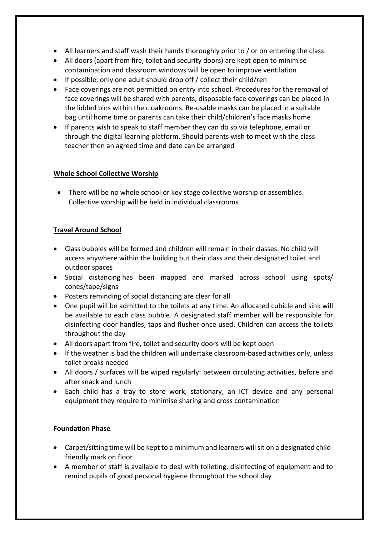- All learners and staff wash their hands thoroughly prior to / or on entering the class
- All doors (apart from fire, toilet and security doors) are kept open to minimise contamination and classroom windows will be open to improve ventilation
- If possible, only one adult should drop off / collect their child/ren
- Face coverings are not permitted on entry into school. Procedures for the removal of face coverings will be shared with parents, disposable face coverings can be placed in the lidded bins within the cloakrooms. Re-usable masks can be placed in a suitable bag until home time or parents can take their child/children's face masks home
- If parents wish to speak to staff member they can do so via telephone, email or through the digital learning platform. Should parents wish to meet with the class teacher then an agreed time and date can be arranged

## **Whole School Collective Worship**

• There will be no whole school or key stage collective worship or assemblies. Collective worship will be held in individual classrooms

# **Travel Around School**

- Class bubbles will be formed and children will remain in their classes. No child will access anywhere within the building but their class and their designated toilet and outdoor spaces
- Social distancing has been mapped and marked across school using spots/ cones/tape/signs
- Posters reminding of social distancing are clear for all
- One pupil will be admitted to the toilets at any time. An allocated cubicle and sink will be available to each class bubble. A designated staff member will be responsible for disinfecting door handles, taps and flusher once used. Children can access the toilets throughout the day
- All doors apart from fire, toilet and security doors will be kept open
- If the weather is bad the children will undertake classroom-based activities only, unless toilet breaks needed
- All doors / surfaces will be wiped regularly: between circulating activities, before and after snack and lunch
- Each child has a tray to store work, stationary, an ICT device and any personal equipment they require to minimise sharing and cross contamination

# **Foundation Phase**

- Carpet/sitting time will be kept to a minimum and learners will sit on a designated childfriendly mark on floor
- A member of staff is available to deal with toileting, disinfecting of equipment and to remind pupils of good personal hygiene throughout the school day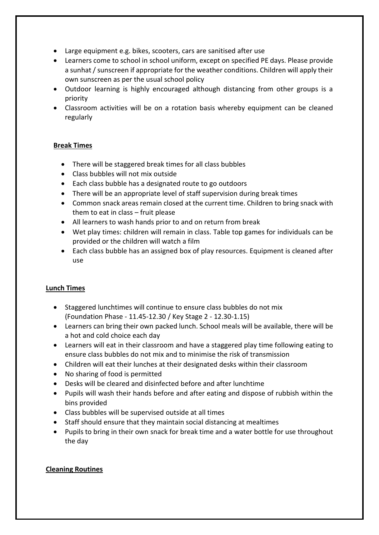- Large equipment e.g. bikes, scooters, cars are sanitised after use
- Learners come to school in school uniform, except on specified PE days. Please provide a sunhat / sunscreen if appropriate for the weather conditions. Children will apply their own sunscreen as per the usual school policy
- Outdoor learning is highly encouraged although distancing from other groups is a priority
- Classroom activities will be on a rotation basis whereby equipment can be cleaned regularly

## **Break Times**

- There will be staggered break times for all class bubbles
- Class bubbles will not mix outside
- Each class bubble has a designated route to go outdoors
- There will be an appropriate level of staff supervision during break times
- Common snack areas remain closed at the current time. Children to bring snack with them to eat in class – fruit please
- All learners to wash hands prior to and on return from break
- Wet play times: children will remain in class. Table top games for individuals can be provided or the children will watch a film
- Each class bubble has an assigned box of play resources. Equipment is cleaned after use

## **Lunch Times**

- Staggered lunchtimes will continue to ensure class bubbles do not mix (Foundation Phase - 11.45-12.30 / Key Stage 2 - 12.30-1.15)
- Learners can bring their own packed lunch. School meals will be available, there will be a hot and cold choice each day
- Learners will eat in their classroom and have a staggered play time following eating to ensure class bubbles do not mix and to minimise the risk of transmission
- Children will eat their lunches at their designated desks within their classroom
- No sharing of food is permitted
- Desks will be cleared and disinfected before and after lunchtime
- Pupils will wash their hands before and after eating and dispose of rubbish within the bins provided
- Class bubbles will be supervised outside at all times
- Staff should ensure that they maintain social distancing at mealtimes
- Pupils to bring in their own snack for break time and a water bottle for use throughout the day

## **Cleaning Routines**